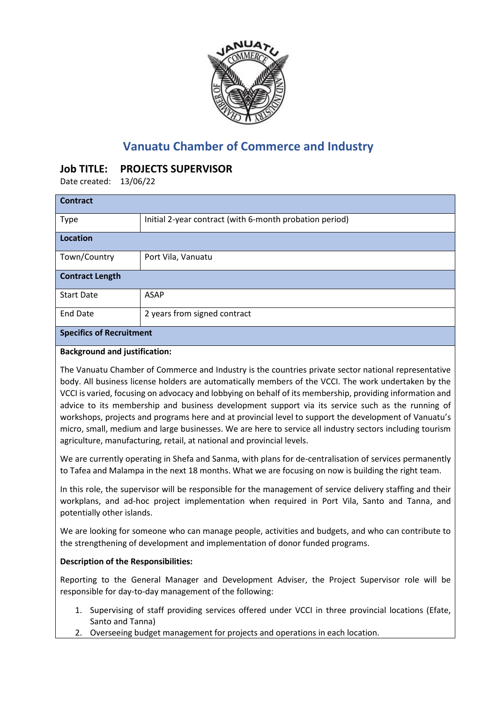

# **Vanuatu Chamber of Commerce and Industry**

# **Job TITLE: PROJECTS SUPERVISOR**

Date created: 13/06/22

| <b>Contract</b>                 |                                                         |
|---------------------------------|---------------------------------------------------------|
| Type                            | Initial 2-year contract (with 6-month probation period) |
| <b>Location</b>                 |                                                         |
| Town/Country                    | Port Vila, Vanuatu                                      |
| <b>Contract Length</b>          |                                                         |
| <b>Start Date</b>               | <b>ASAP</b>                                             |
| <b>End Date</b>                 | 2 years from signed contract                            |
| <b>Specifics of Recruitment</b> |                                                         |

#### **Background and justification:**

The Vanuatu Chamber of Commerce and Industry is the countries private sector national representative body. All business license holders are automatically members of the VCCI. The work undertaken by the VCCI is varied, focusing on advocacy and lobbying on behalf of its membership, providing information and advice to its membership and business development support via its service such as the running of workshops, projects and programs here and at provincial level to support the development of Vanuatu's micro, small, medium and large businesses. We are here to service all industry sectors including tourism agriculture, manufacturing, retail, at national and provincial levels.

We are currently operating in Shefa and Sanma, with plans for de-centralisation of services permanently to Tafea and Malampa in the next 18 months. What we are focusing on now is building the right team.

In this role, the supervisor will be responsible for the management of service delivery staffing and their workplans, and ad-hoc project implementation when required in Port Vila, Santo and Tanna, and potentially other islands.

We are looking for someone who can manage people, activities and budgets, and who can contribute to the strengthening of development and implementation of donor funded programs.

## **Description of the Responsibilities:**

Reporting to the General Manager and Development Adviser, the Project Supervisor role will be responsible for day-to-day management of the following:

- 1. Supervising of staff providing services offered under VCCI in three provincial locations (Efate, Santo and Tanna)
- 2. Overseeing budget management for projects and operations in each location.